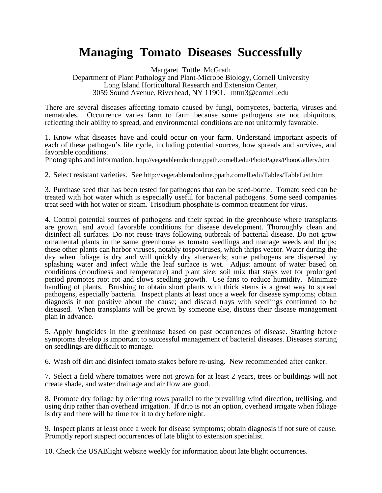## **Managing Tomato Diseases Successfully**

Margaret Tuttle McGrath Department of Plant Pathology and Plant-Microbe Biology, Cornell University Long Island Horticultural Research and Extension Center, 3059 Sound Avenue, Riverhead, NY 11901. mtm3@cornell.edu

There are several diseases affecting tomato caused by fungi, oomycetes, bacteria, viruses and nematodes. Occurrence varies farm to farm because some pathogens are not ubiquitous, reflecting their ability to spread, and environmental conditions are not uniformly favorable.

1. Know what diseases have and could occur on your farm. Understand important aspects of each of these pathogen's life cycle, including potential sources, how spreads and survives, and favorable conditions.

Photographs and information. http://vegetablemdonline.ppath.cornell.edu/PhotoPages/PhotoGallery.htm

2. Select resistant varieties. See http://vegetablemdonline.ppath.cornell.edu/Tables/TableList.htm

 3. Purchase seed that has been tested for pathogens that can be seed-borne. Tomato seed can be treated with hot water which is especially useful for bacterial pathogens. Some seed companies treat seed with hot water or steam. Trisodium phosphate is common treatment for virus.

 4. Control potential sources of pathogens and their spread in the greenhouse where transplants pathogens, especially bacteria. Inspect plants at least once a week for disease symptoms; obtain diseased. When transplants will be grown by someone else, discuss their disease management are grown, and avoid favorable conditions for disease development. Thoroughly clean and disinfect all surfaces. Do not reuse trays following outbreak of bacterial disease. Do not grow ornamental plants in the same greenhouse as tomato seedlings and manage weeds and thrips; these other plants can harbor viruses, notably tospoviruses, which thrips vector. Water during the day when foliage is dry and will quickly dry afterwards; some pathogens are dispersed by splashing water and infect while the leaf surface is wet. Adjust amount of water based on conditions (cloudiness and temperature) and plant size; soil mix that stays wet for prolonged period promotes root rot and slows seedling growth. Use fans to reduce humidity. Minimize handling of plants. Brushing to obtain short plants with thick stems is a great way to spread diagnosis if not positive about the cause; and discard trays with seedlings confirmed to be plan in advance.

 on seedlings are difficult to manage. 5. Apply fungicides in the greenhouse based on past occurrences of disease. Starting before symptoms develop is important to successful management of bacterial diseases. Diseases starting

6. Wash off dirt and disinfect tomato stakes before re-using. New recommended after canker.

 7. Select a field where tomatoes were not grown for at least 2 years, trees or buildings will not create shade, and water drainage and air flow are good.

 8. Promote dry foliage by orienting rows parallel to the prevailing wind direction, trellising, and using drip rather than overhead irrigation. If drip is not an option, overhead irrigate when foliage is dry and there will be time for it to dry before night.

 9. Inspect plants at least once a week for disease symptoms; obtain diagnosis if not sure of cause. Promptly report suspect occurrences of late blight to extension specialist.

10. Check the USABlight website weekly for information about late blight occurrences.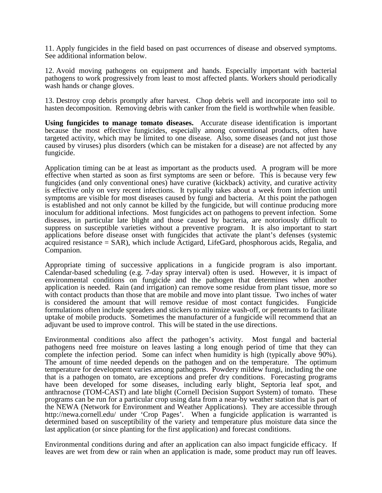11. Apply fungicides in the field based on past occurrences of disease and observed symptoms. See additional information below.

 wash hands or change gloves. 12. Avoid moving pathogens on equipment and hands. Especially important with bacterial pathogens to work progressively from least to most affected plants. Workers should periodically

 hasten decomposition. Removing debris with canker from the field is worthwhile when feasible. 13. Destroy crop debris promptly after harvest. Chop debris well and incorporate into soil to

 **Using fungicides to manage tomato diseases.** Accurate disease identification is important caused by viruses) plus disorders (which can be mistaken for a disease) are not affected by any because the most effective fungicides, especially among conventional products, often have targeted activity, which may be limited to one disease. Also, some diseases (and not just those fungicide.

 suppress on susceptible varieties without a preventive program. It is also important to start Application timing can be at least as important as the products used. A program will be more effective when started as soon as first symptoms are seen or before. This is because very few fungicides (and only conventional ones) have curative (kickback) activity, and curative activity is effective only on very recent infections. It typically takes about a week from infection until symptoms are visible for most diseases caused by fungi and bacteria. At this point the pathogen is established and not only cannot be killed by the fungicide, but will continue producing more inoculum for additional infections. Most fungicides act on pathogens to prevent infection. Some diseases, in particular late blight and those caused by bacteria, are notoriously difficult to applications before disease onset with fungicides that activate the plant's defenses (systemic acquired resistance = SAR), which include Actigard, LifeGard, phosphorous acids, Regalia, and Companion.

Appropriate timing of successive applications in a fungicide program is also important. application is needed. Rain (and irrigation) can remove some residue from plant tissue, more so with contact products than those that are mobile and move into plant tissue. Two inches of water formulations often include spreaders and stickers to minimize wash-off, or penetrants to facilitate Calendar-based scheduling (e.g. 7-day spray interval) often is used. However, it is impact of environmental conditions on fungicide and the pathogen that determines when another is considered the amount that will remove residue of most contact fungicides. Fungicide uptake of mobile products. Sometimes the manufacturer of a fungicide will recommend that an adjuvant be used to improve control. This will be stated in the use directions.

 pathogens need free moisture on leaves lasting a long enough period of time that they can complete the infection period. Some can infect when humidity is high (typically above 90%). The amount of time needed depends on the pathogen and on the temperature. The optimum Environmental conditions also affect the pathogen's activity. Most fungal and bacterial temperature for development varies among pathogens. Powdery mildew fungi, including the one that is a pathogen on tomato, are exceptions and prefer dry conditions. Forecasting programs have been developed for some diseases, including early blight, Septoria leaf spot, and anthracnose (TOM-CAST) and late blight (Cornell Decision Support System) of tomato. These programs can be run for a particular crop using data from a near-by weather station that is part of the NEWA (Network for Environment and Weather Applications). They are accessible through http://newa.cornell.edu/ under 'Crop Pages'. When a fungicide application is warranted is determined based on susceptibility of the variety and temperature plus moisture data since the last application (or since planting for the first application) and forecast conditions.

Environmental conditions during and after an application can also impact fungicide efficacy. If leaves are wet from dew or rain when an application is made, some product may run off leaves.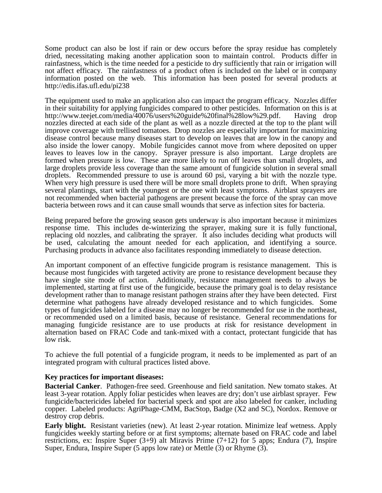Some product can also be lost if rain or dew occurs before the spray residue has completely dried, necessitating making another application soon to maintain control. Products differ in rainfastness, which is the time needed for a pesticide to dry sufficiently that rain or irrigation will not affect efficacy. The rainfastness of a product often is included on the label or in company information posted on the web. This information has been posted for several products at http://edis.ifas.ufl.edu/pi238

 The equipment used to make an application also can impact the program efficacy. Nozzles differ nozzles directed at each side of the plant as well as a nozzle directed at the top to the plant will leaves to leaves low in the canopy. Sprayer pressure is also important. Large droplets are droplets. Recommended pressure to use is around 60 psi, varying a bit with the nozzle type. in their suitability for applying fungicides compared to other pesticides. Information on this is at http://www.teejet.com/media/40076/users%20guide%20final%28low%29.pdf. Having drop improve coverage with trellised tomatoes. Drop nozzles are especially important for maximizing disease control because many diseases start to develop on leaves that are low in the canopy and also inside the lower canopy. Mobile fungicides cannot move from where deposited on upper formed when pressure is low. These are more likely to run off leaves than small droplets, and large droplets provide less coverage than the same amount of fungicide solution in several small When very high pressure is used there will be more small droplets prone to drift. When spraying several plantings, start with the youngest or the one with least symptoms. Airblast sprayers are not recommended when bacterial pathogens are present because the force of the spray can move bacteria between rows and it can cause small wounds that serve as infection sites for bacteria.

 response time. This includes de-winterizing the sprayer, making sure it is fully functional, Being prepared before the growing season gets underway is also important because it minimizes replacing old nozzles, and calibrating the sprayer. It also includes deciding what products will be used, calculating the amount needed for each application, and identifying a source. Purchasing products in advance also facilitates responding immediately to disease detection.

 An important component of an effective fungicide program is resistance management. This is implemented, starting at first use of the fungicide, because the primary goal is to delay resistance development rather than to manage resistant pathogen strains after they have been detected. First or recommended used on a limited basis, because of resistance. General recommendations for because most fungicides with targeted activity are prone to resistance development because they have single site mode of action. Additionally, resistance management needs to always be determine what pathogens have already developed resistance and to which fungicides. Some types of fungicides labeled for a disease may no longer be recommended for use in the northeast, managing fungicide resistance are to use products at risk for resistance development in alternation based on FRAC Code and tank-mixed with a contact, protectant fungicide that has low risk.

To achieve the full potential of a fungicide program, it needs to be implemented as part of an integrated program with cultural practices listed above.

## **Key practices for important diseases:**

**Bacterial Canker**. Pathogen-free seed. Greenhouse and field sanitation. New tomato stakes. At least 3-year rotation. Apply foliar pesticides when leaves are dry; don't use airblast sprayer. Few fungicide/bactericides labeled for bacterial speck and spot are also labeled for canker, including copper. Labeled products: AgriPhage-CMM, BacStop, Badge (X2 and SC), Nordox. Remove or destroy crop debris.

 **Early blight.** Resistant varieties (new). At least 2-year rotation. Minimize leaf wetness. Apply restrictions, ex: Inspire Super (3+9) alt Miravis Prime (7+12) for 5 apps; Endura (7), Inspire Super, Endura, Inspire Super (5 apps low rate) or Mettle (3) or Rhyme (3). fungicides weekly starting before or at first symptoms; alternate based on FRAC code and label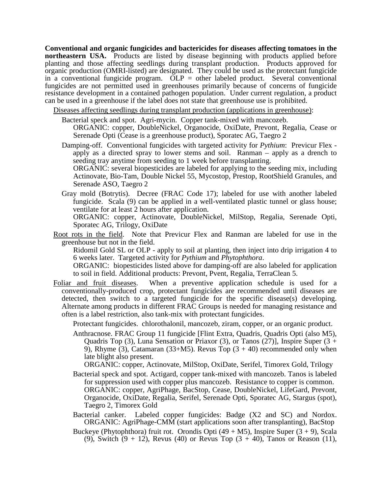**northeastern USA.** Products are listed by disease beginning with products applied before in a conventional fungicide program.  $\overline{OLP}$  = other labeled product. Several conventional **Conventional and organic fungicides and bactericides for diseases affecting tomatoes in the**  planting and those affecting seedlings during transplant production. Products approved for organic production (OMRI-listed) are designated. They could be used as the protectant fungicide fungicides are not permitted used in greenhouses primarily because of concerns of fungicide resistance development in a contained pathogen population. Under current regulation, a product can be used in a greenhouse if the label does not state that greenhouse use is prohibited.

Diseases affecting seedlings during transplant production (applications in greenhouse):

- Bacterial speck and spot. Agri-mycin. Copper tank-mixed with mancozeb.
	- ORGANIC: copper, DoubleNickel, Organocide, OxiDate, Prevont, Regalia, Cease or Serenade Opti (Cease is a greenhouse product), Sporatec AG, Taegro 2
- Damping-off. Conventional fungicides with targeted activity for *Pythium*: Previcur Flex apply as a directed spray to lower stems and soil. Ranman – apply as a drench to seeding tray anytime from seeding to 1 week before transplanting.

 Serenade ASO, Taegro 2 ORGANIC: several biopesticides are labeled for applying to the seeding mix, including Actinovate, Bio-Tam, Double Nickel 55, Mycostop, Prestop, RootShield Granules, and

 ventilate for at least 2 hours after application. Gray mold (Botrytis). Decree (FRAC Code 17); labeled for use with another labeled fungicide. Scala (9) can be applied in a well-ventilated plastic tunnel or glass house;

ORGANIC: copper, Actinovate, DoubleNickel, MilStop, Regalia, Serenade Opti, Sporatec AG, Trilogy, OxiDate

Root rots in the field. Note that Previcur Flex and Ranman are labeled for use in the greenhouse but not in the field.

 Ridomil Gold SL or OLP - apply to soil at planting, then inject into drip irrigation 4 to 6 weeks later. Targeted activity for *Pythium* and *Phytophthora*.

 ORGANIC: biopesticides listed above for damping-off are also labeled for application to soil in field. Additional products: Prevont, Pvent, Regalia, TerraClean 5.

Foliar and fruit diseases. When a preventive application schedule is used for a often is a label restriction, also tank-mix with protectant fungicides. conventionally-produced crop, protectant fungicides are recommended until diseases are detected, then switch to a targeted fungicide for the specific disease(s) developing. Alternate among products in different FRAC Groups is needed for managing resistance and

Protectant fungicides. chlorothalonil, mancozeb, ziram, copper, or an organic product.

9), Rhyme (3), Catamaran (33+M5). Revus Top  $(3 + 40)$  recommended only when Anthracnose. FRAC Group 11 fungicide [Flint Extra, Quadris, Quadris Opti (also M5), Quadris Top (3), Luna Sensation or Priaxor (3), or Tanos (27)], Inspire Super (3 + late blight also present.

ORGANIC: copper, Actinovate, MilStop, OxiDate, Serifel, Timorex Gold, Trilogy

- Bacterial speck and spot. Actigard, copper tank-mixed with mancozeb. Tanos is labeled for suppression used with copper plus mancozeb. Resistance to copper is common. ORGANIC: copper, AgriPhage, BacStop, Cease, DoubleNickel, LifeGard, Prevont, Organocide, OxiDate, Regalia, Serifel, Serenade Opti, Sporatec AG, Stargus (spot), Taegro 2, Timorex Gold
- Bacterial canker. Labeled copper fungicides: Badge  $(X2 \text{ and } SC)$  and Nordox. ORGANIC: AgriPhage-CMM (start applications soon after transplanting), BacStop
- Buckeye (Phytophthora) fruit rot. Orondis Opti (49 + M5), Inspire Super (3 + 9), Scala (9), Switch  $(9 + 12)$ , Revus (40) or Revus Top  $(3 + 40)$ , Tanos or Reason (11),